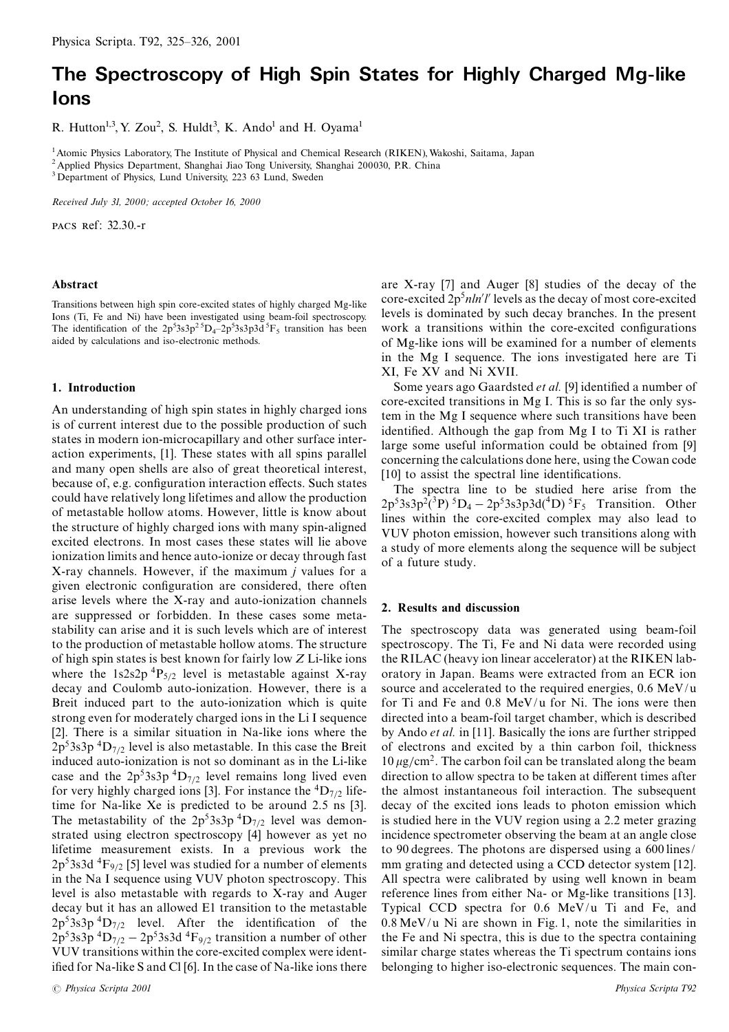# The Spectroscopy of High Spin States for Highly Charged Mg-like lons

R. Hutton<sup>1,3</sup>, Y. Zou<sup>2</sup>, S. Huldt<sup>3</sup>, K. Ando<sup>1</sup> and H. Oyama<sup>1</sup>

<sup>1</sup> Atomic Physics Laboratory, The Institute of Physical and Chemical Research (RIKEN), Wakoshi, Saitama, Japan <sup>2</sup> Applied Physics Department, Shanghai Jiao Tong University, Shanghai 200030, P.R. China

<sup>3</sup> Department of Physics, Lund University, 223 63 Lund, Sweden

Received July 31, 2000; accepted October 16, 2000

PACS Ref: 32.30.-r

#### Abstract

Transitions between high spin core-excited states of highly charged Mg-like Ions (Ti, Fe and Ni) have been investigated using beam-foil spectroscopy. The identification of the  $2p^53s^3p^2D_4-2p^53s^3p^3d^5F_5$  transition has been aided by calculations and iso-electronic methods.

## 1. Introduction

An understanding of high spin states in highly charged ions is of current interest due to the possible production of such states in modern ion-microcapillary and other surface interaction experiments, [1]. These states with all spins parallel and many open shells are also of great theoretical interest, because of, e.g. configuration interaction effects. Such states could have relatively long lifetimes and allow the production of metastable hollow atoms. However, little is know about the structure of highly charged ions with many spin-aligned excited electrons. In most cases these states will lie above ionization limits and hence auto-ionize or decay through fast X-ray channels. However, if the maximum  $i$  values for a given electronic configuration are considered, there often arise levels where the X-ray and auto-ionization channels are suppressed or forbidden. In these cases some metastability can arise and it is such levels which are of interest to the production of metastable hollow atoms. The structure of high spin states is best known for fairly low  $Z$  Li-like ions where the 1s2s2p<sup>4</sup>P<sub>5/2</sub> level is metastable against X-ray decay and Coulomb auto-ionization. However, there is a Breit induced part to the auto-ionization which is quite strong even for moderately charged ions in the Li I sequence [2]. There is a similar situation in Na-like ions where the  $2p<sup>5</sup>3s3p<sup>4</sup>D<sub>7/2</sub>$  level is also metastable. In this case the Breit induced auto-ionization is not so dominant as in the Li-like case and the  $2p^53s^3p^4D_{7/2}$  level remains long lived even for very highly charged ions [3]. For instance the  ${}^{4}D_{7/2}$  lifetime for Na-like Xe is predicted to be around 2.5 ns [3]. The metastability of the  $2p^53s^3p^4D_{7/2}$  level was demonstrated using electron spectroscopy [4] however as yet no lifetime measurement exists. In a previous work the  $2p<sup>5</sup>3s3d<sup>4</sup>F<sub>9/2</sub>$  [5] level was studied for a number of elements in the Na I sequence using VUV photon spectroscopy. This level is also metastable with regards to X-ray and Auger decay but it has an allowed E1 transition to the metastable  $2p<sup>5</sup>3s3p<sup>4</sup>D<sub>7/2</sub>$  level. After the identification of the  $2p<sup>5</sup>3s3p<sup>4</sup>D<sub>7/2</sub> - 2p<sup>5</sup>3s3d<sup>4</sup>F<sub>9/2</sub>$  transition a number of other VUV transitions within the core-excited complex were identified for Na-like S and Cl [6]. In the case of Na-like ions there

are X-ray [7] and Auger [8] studies of the decay of the core-excited  $2p<sup>5</sup>nhh'l'$  levels as the decay of most core-excited levels is dominated by such decay branches. In the present work a transitions within the core-excited configurations of Mg-like ions will be examined for a number of elements in the Mg I sequence. The ions investigated here are Ti XI, Fe XV and Ni XVII.

Some years ago Gaardsted et al. [9] identified a number of core-excited transitions in Mg I. This is so far the only system in the Mg I sequence where such transitions have been identified. Although the gap from Mg I to Ti XI is rather large some useful information could be obtained from [9] concerning the calculations done here, using the Cowan code [10] to assist the spectral line identifications.

The spectra line to be studied here arise from the  $2p^53s^3p^2(^3P)^5D_4 - 2p^53s^3p^3d(^4D)^5F_5$  Transition. Other lines within the core-excited complex may also lead to VUV photon emission, however such transitions along with a study of more elements along the sequence will be subject of a future study.

## 2. Results and discussion

The spectroscopy data was generated using beam-foil spectroscopy. The Ti, Fe and Ni data were recorded using the RILAC (heavy ion linear accelerator) at the RIKEN laboratory in Japan. Beams were extracted from an ECR ion source and accelerated to the required energies, 0.6 MeV/u for Ti and Fe and  $0.8 \text{ MeV/u}$  for Ni. The ions were then directed into a beam-foil target chamber, which is described by Ando *et al.* in [11]. Basically the ions are further stripped of electrons and excited by a thin carbon foil, thickness  $10 \mu$ g/cm<sup>2</sup>. The carbon foil can be translated along the beam direction to allow spectra to be taken at different times after the almost instantaneous foil interaction. The subsequent decay of the excited ions leads to photon emission which is studied here in the VUV region using a 2.2 meter grazing incidence spectrometer observing the beam at an angle close to 90 degrees. The photons are dispersed using a 600 lines/ mm grating and detected using a CCD detector system [12]. All spectra were calibrated by using well known in beam reference lines from either Na- or Mg-like transitions [13]. Typical CCD spectra for 0.6 MeV/u Ti and Fe, and  $0.8 \,\mathrm{MeV/u}$  Ni are shown in Fig. 1, note the similarities in the Fe and Ni spectra, this is due to the spectra containing similar charge states whereas the Ti spectrum contains ions belonging to higher iso-electronic sequences. The main con-